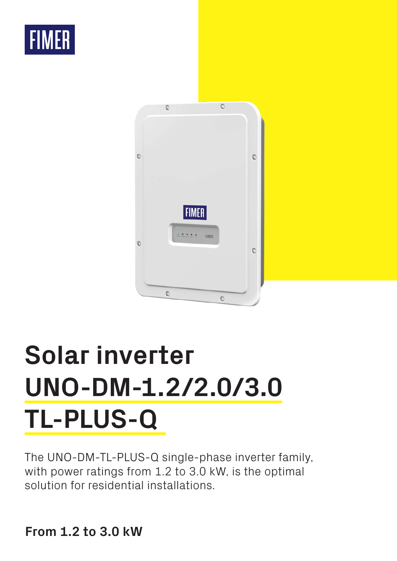



# **Solar inverter UNO-DM-1.2/2.0/3.0 TL-PLUS-Q**

The UNO-DM-TL-PLUS-Q single-phase inverter family, with power ratings from 1.2 to 3.0 kW, is the optimal solution for residential installations.

**From 1.2 to 3.0 kW**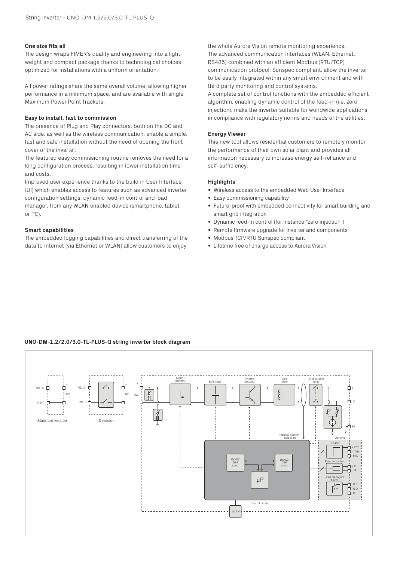## **One size fits all**

The design wraps FIMER's quality and engineering into a lightweight and compact package thanks to technological choices optimized for installations with a uniform orientation.

All power ratings share the same overall volume, allowing higher performance in a minimum space, and are available with single Maximum Power Point Trackers.

## **Easy to install, fast to commission**

The presence of Plug and Play connectors, both on the DC and AC side, as well as the wireless communication, enable a simple, fast and safe installation without the need of opening the front cover of the inverter.

The featured easy commissioning routine removes the need for a long configuration process, resulting in lower installation time and costs.

Improved user experience thanks to the build in User Interface (UI) which enables access to features such as advanced inverter configuration settings, dynamic feed-in control and load manager, from any WLAN enabled device (smartphone, tablet or PC).

## **Smart capabilities**

The embedded logging capabilities and direct transferring of the data to Internet (via Ethernet or WLAN) allow customers to enjoy

the whole Aurora Vision remote monitoring experience. The advanced communication interfaces (WLAN, Ethernet, RS485) combined with an efficient Modbus (RTU/TCP) communication protocol, Sunspec compliant, allow the inverter to be easily integrated within any smart environment and with third party monitoring and control systems.

A complete set of control functions with the embedded efficient algorithm, enabling dynamic control of the feed-in (i.e. zero injection), make the inverter suitable for worldwide applications in compliance with regulatory norms and needs of the utilities.

### **Energy Viewer**

This new tool allows residential customers to remotely monitor the performance of their own solar plant and provides all information necessary to increase energy self-reliance and self-sufficiency.

# **Highlights**

- Wireless access to the embedded Web User Interface
- Easy commissioning capability
- Future-proof with embedded connectivity for smart building and smart grid integration
- Dynamic feed-in control (for instance "zero injection")
- Remote firmware upgrade for inverter and components
- Modbus TCP/RTU Sunspec compliant
- Lifetime free of charge access to Aurora Vision

# **UNO-DM-1.2/2.0/3.0-TL-PLUS-Q string inverter block diagram**

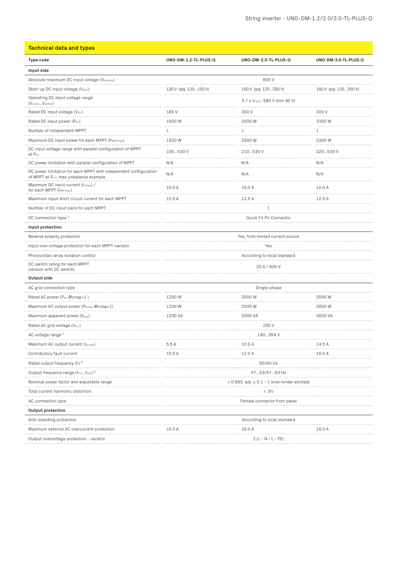| <b>Technical data and types</b>                                                                                         |                                                     |                                            |                       |
|-------------------------------------------------------------------------------------------------------------------------|-----------------------------------------------------|--------------------------------------------|-----------------------|
| Type code                                                                                                               | UNO-DM-1.2-TL-PLUS-Q                                | UNO-DM-2.0-TL-PLUS-Q                       | UNO-DM-3.0-TL-PLUS-Q  |
| Input side                                                                                                              |                                                     |                                            |                       |
| Absolute maximum DC input voltage (Vmax,abs)                                                                            |                                                     | 600V                                       |                       |
| Start-up DC input voltage (V <sub>start</sub> )                                                                         | 120 V (adj. 120150 V)                               | 150 V (adj. 120250 V)                      | 150 V (adj. 120250 V) |
| Operating DC input voltage range<br>$(VdcminVdcmax)$                                                                    |                                                     | 0.7 x V <sub>start.</sub> 580 V (min 90 V) |                       |
| Rated DC input voltage (Vdcr)                                                                                           | 185 V                                               | 300 V                                      | 300 V                 |
| Rated DC input power (Pdcr)                                                                                             | 1500 W                                              | 2500 W                                     | 3300 W                |
| Number of independent MPPT                                                                                              | 1                                                   | 1                                          | $\mathbf{1}$          |
| Maximum DC input power for each MPPT (PMPPTmax)                                                                         | 1500 W                                              | 2500W<br>.                                 | 3300 W                |
| DC input voltage range with parallel configuration of MPPT<br>at Pacr                                                   | 100530 V                                            | 210530 V                                   | 320530 V<br>          |
| DC power limitation with parallel configuration of MPPT                                                                 | N/A                                                 | N/A                                        | N/A                   |
| DC power limitation for each MPPT with independent configuration<br>of MPPT at P <sub>acr</sub> , max unbalance example | N/A                                                 | N/A                                        | N/A                   |
| Maximum DC input current (Idcmax) /<br>for each MPPT (I <sub>MPPTmax</sub> )                                            | 10.0 A                                              | 10.0 A                                     | 10.0 A                |
| Maximum input short circuit current for each MPPT                                                                       | 12.5 A                                              | 12.5 A                                     | 12.5 A                |
| Number of DC input pairs for each MPPT                                                                                  |                                                     | 1                                          |                       |
| DC connection type 1)                                                                                                   | Quick Fit PV Connector                              |                                            |                       |
| Input protection                                                                                                        |                                                     |                                            |                       |
| Reverse polarity protection                                                                                             | Yes, from limited current source                    |                                            |                       |
| Input over voltage protection for each MPPT-varistor                                                                    |                                                     | Yes                                        |                       |
| Photovoltaic array isolation control                                                                                    | According to local standard                         |                                            |                       |
| DC switch rating for each MPPT<br>(version with DC switch)                                                              | 25 A / 600 V                                        |                                            |                       |
| Output side                                                                                                             |                                                     |                                            |                       |
| AC grid connection type                                                                                                 | Single-phase                                        |                                            |                       |
| Rated AC power ( $P_{\text{acr}}$ $\text{Cos}\varphi=1$ )                                                               | 1200 W                                              | 2000 W                                     | 3000 W                |
| Maximum AC output power (Pacmax 回cosq=1)                                                                                | 1200 W<br>.                                         | 2000 W                                     | 3000 W                |
| Maximum apparent power (Smax)                                                                                           | 1200 VA                                             | 2000 VA                                    | 3000 VA               |
| Rated AC grid voltage (Vac.r)                                                                                           |                                                     | 230 V                                      |                       |
| AC voltage range <sup>2)</sup>                                                                                          | 180264 V                                            |                                            |                       |
| Maximum AC output current (lac.max)                                                                                     | 5.5A                                                | 10.0 A                                     | 14.5 A                |
| Contributory fault current                                                                                              | 10.0 A                                              | 12.0 A                                     | 16.0 A                |
| Rated output frequency $(f_1)^3$                                                                                        | 50/60 Hz                                            |                                            |                       |
| Output frequency range (fminfmax) 3)                                                                                    | 4753/5763 Hz                                        |                                            |                       |
| Nominal power factor and adjustable range                                                                               | $> 0.995$ , adj. $\pm 0.1 - 1$ (over/under excited) |                                            |                       |
| Total current harmonic distortion.                                                                                      |                                                     | < 3%                                       |                       |
| AC connection type                                                                                                      | Female connector from panel                         |                                            |                       |

| out protection*                            |       |                             |        |
|--------------------------------------------|-------|-----------------------------|--------|
| Anti-islanding protection                  |       | According to local standard |        |
| Maximum external AC overcurrent protection | 0.0 A | 1 R N A                     | 16.0 A |
| Output overvoltage protection - varistor   |       | $2(L - N / L - PE)$         |        |